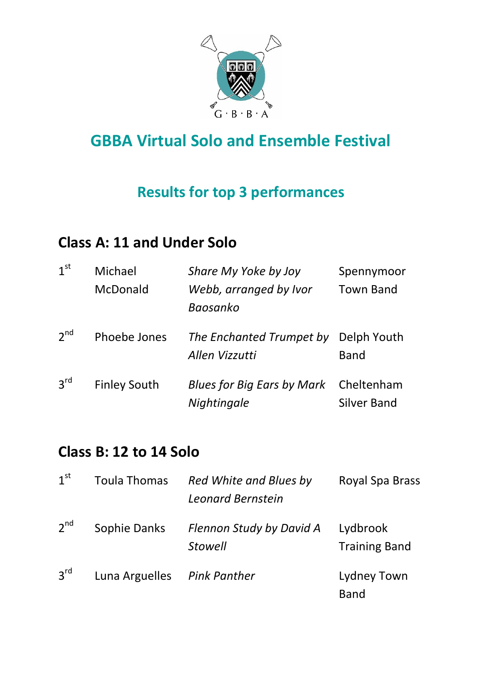

# **GBBA Virtual Solo and Ensemble Festival**

### **Results for top 3 performances**

### **Class A: 11 and Under Solo**

| 1 <sup>st</sup> | Michael<br>McDonald | Share My Yoke by Joy<br>Webb, arranged by Ivor<br>Baosanko | Spennymoor<br><b>Town Band</b>   |
|-----------------|---------------------|------------------------------------------------------------|----------------------------------|
| $2^{nd}$        | Phoebe Jones        | The Enchanted Trumpet by<br>Allen Vizzutti                 | Delph Youth<br><b>Band</b>       |
| 3 <sup>rd</sup> | <b>Finley South</b> | <b>Blues for Big Ears by Mark</b><br>Nightingale           | Cheltenham<br><b>Silver Band</b> |

### **Class B: 12 to 14 Solo**

| 1 <sup>st</sup> | <b>Toula Thomas</b> | Red White and Blues by<br>Leonard Bernstein       | Royal Spa Brass                  |
|-----------------|---------------------|---------------------------------------------------|----------------------------------|
| $2^{nd}$        | Sophie Danks        | <b>Flennon Study by David A</b><br><b>Stowell</b> | Lydbrook<br><b>Training Band</b> |
| $3^{\text{rd}}$ | Luna Arguelles      | <b>Pink Panther</b>                               | Lydney Town<br><b>Band</b>       |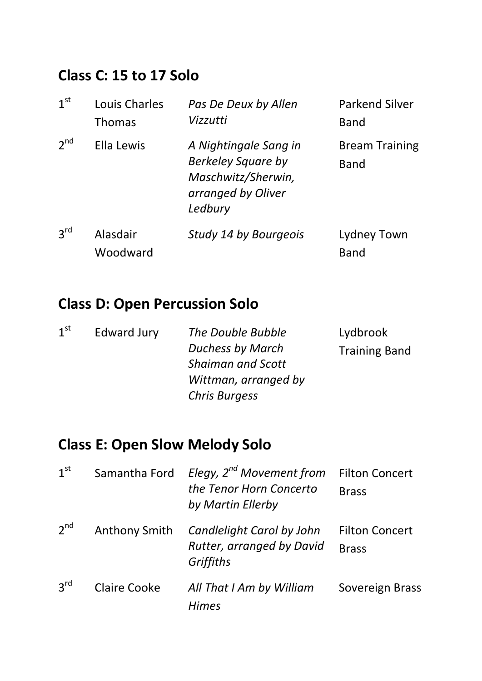### **Class C: 15 to 17 Solo**

| 1 <sup>st</sup> | Louis Charles<br><b>Thomas</b> | Pas De Deux by Allen<br>Vizzutti                                                                          | <b>Parkend Silver</b><br><b>Band</b> |
|-----------------|--------------------------------|-----------------------------------------------------------------------------------------------------------|--------------------------------------|
| $2^{nd}$        | Ella Lewis                     | A Nightingale Sang in<br><b>Berkeley Square by</b><br>Maschwitz/Sherwin,<br>arranged by Oliver<br>Ledbury | <b>Bream Training</b><br>Band        |
| 3 <sup>rd</sup> | Alasdair<br>Woodward           | Study 14 by Bourgeois                                                                                     | Lydney Town<br><b>Band</b>           |

# **Class D: Open Percussion Solo**

| 1 <sup>st</sup> | <b>Edward Jury</b> | The Double Bubble        | Lydbrook             |
|-----------------|--------------------|--------------------------|----------------------|
|                 |                    | <b>Duchess by March</b>  | <b>Training Band</b> |
|                 |                    | <b>Shaiman and Scott</b> |                      |
|                 |                    | Wittman, arranged by     |                      |
|                 |                    | <b>Chris Burgess</b>     |                      |

# **Class E: Open Slow Melody Solo**

| 1 <sup>st</sup> | Samantha Ford        | Elegy, 2 <sup>nd</sup> Movement from<br>the Tenor Horn Concerto<br>by Martin Ellerby | <b>Filton Concert</b><br><b>Brass</b> |
|-----------------|----------------------|--------------------------------------------------------------------------------------|---------------------------------------|
| $2^{nd}$        | <b>Anthony Smith</b> | Candlelight Carol by John<br>Rutter, arranged by David<br>Griffiths                  | <b>Filton Concert</b><br><b>Brass</b> |
| 3 <sup>rd</sup> | Claire Cooke         | All That I Am by William<br><b>Himes</b>                                             | Sovereign Brass                       |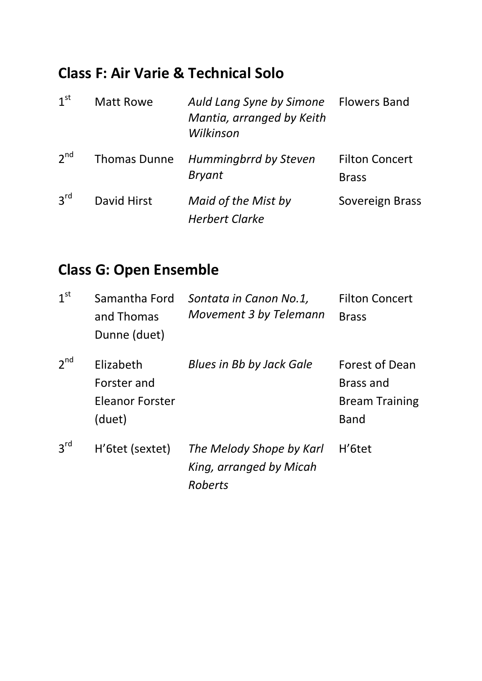#### **Class F: Air Varie & Technical Solo**

| 1 <sup>st</sup> | <b>Matt Rowe</b>    | Auld Lang Syne by Simone<br>Mantia, arranged by Keith<br>Wilkinson | <b>Flowers Band</b>                   |
|-----------------|---------------------|--------------------------------------------------------------------|---------------------------------------|
| 2 <sup>nd</sup> | <b>Thomas Dunne</b> | <b>Hummingbrrd by Steven</b><br><b>Bryant</b>                      | <b>Filton Concert</b><br><b>Brass</b> |
| 3 <sup>rd</sup> | David Hirst         | Maid of the Mist by<br><b>Herbert Clarke</b>                       | Sovereign Brass                       |

# **Class G: Open Ensemble**

| 1 <sup>st</sup> | Samantha Ford<br>and Thomas<br>Dunne (duet)                  | Sontata in Canon No.1,<br>Movement 3 by Telemann                      | <b>Filton Concert</b><br><b>Brass</b>                                             |
|-----------------|--------------------------------------------------------------|-----------------------------------------------------------------------|-----------------------------------------------------------------------------------|
| $2^{nd}$        | Elizabeth<br>Forster and<br><b>Eleanor Forster</b><br>(duet) | <b>Blues in Bb by Jack Gale</b>                                       | <b>Forest of Dean</b><br><b>Brass and</b><br><b>Bream Training</b><br><b>Band</b> |
| 3 <sup>rd</sup> | H'6tet (sextet)                                              | The Melody Shope by Karl<br>King, arranged by Micah<br><b>Roberts</b> | H' <sub>6</sub> tet                                                               |